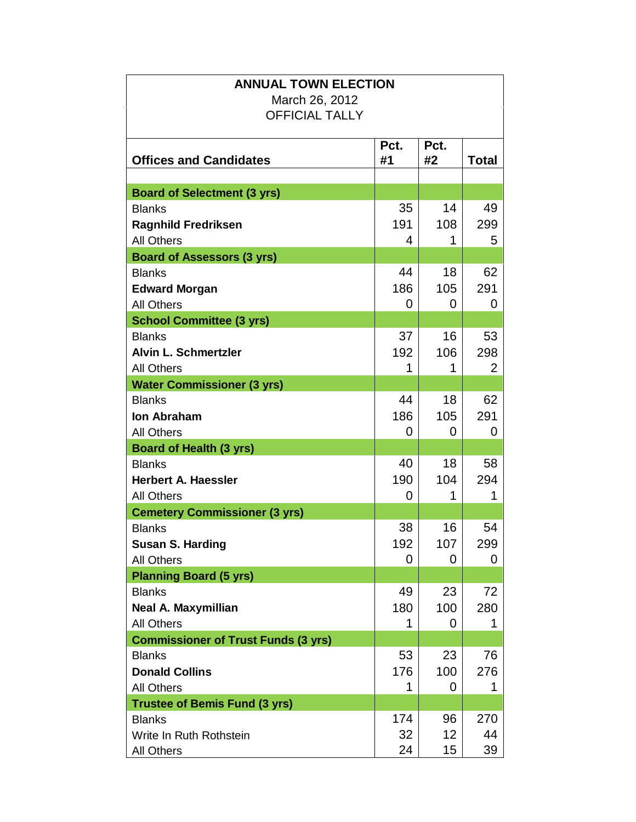| <b>ANNUAL TOWN ELECTION</b>                |      |      |              |  |
|--------------------------------------------|------|------|--------------|--|
| March 26, 2012                             |      |      |              |  |
| <b>OFFICIAL TALLY</b>                      |      |      |              |  |
|                                            |      |      |              |  |
|                                            | Pct. | Pct. |              |  |
| <b>Offices and Candidates</b>              | #1   | #2   | <b>Total</b> |  |
|                                            |      |      |              |  |
| <b>Board of Selectment (3 yrs)</b>         |      |      |              |  |
| <b>Blanks</b>                              | 35   | 14   | 49           |  |
| <b>Ragnhild Fredriksen</b>                 | 191  | 108  | 299          |  |
| <b>All Others</b>                          | 4    | 1    | 5            |  |
| <b>Board of Assessors (3 yrs)</b>          |      |      |              |  |
| <b>Blanks</b>                              | 44   | 18   | 62           |  |
| <b>Edward Morgan</b>                       | 186  | 105  | 291          |  |
| <b>All Others</b>                          | 0    | 0    | 0            |  |
| <b>School Committee (3 yrs)</b>            |      |      |              |  |
| <b>Blanks</b>                              | 37   | 16   | 53           |  |
| <b>Alvin L. Schmertzler</b>                | 192  | 106  | 298          |  |
| <b>All Others</b>                          |      | 1    | 2            |  |
| <b>Water Commissioner (3 yrs)</b>          |      |      |              |  |
| <b>Blanks</b>                              | 44   | 18   | 62           |  |
| <b>Ion Abraham</b>                         | 186  | 105  | 291          |  |
| <b>All Others</b>                          | 0    | 0    | 0            |  |
| <b>Board of Health (3 yrs)</b>             |      |      |              |  |
| <b>Blanks</b>                              | 40   | 18   | 58           |  |
| <b>Herbert A. Haessler</b>                 | 190  | 104  | 294          |  |
| <b>All Others</b>                          | 0    | 1    | 1            |  |
| <b>Cemetery Commissioner (3 yrs)</b>       |      |      |              |  |
| <b>Blanks</b>                              | 38   | 16   | 54           |  |
| <b>Susan S. Harding</b>                    | 192  | 107  | 299          |  |
| <b>All Others</b>                          | 0    | 0    | 0            |  |
| <b>Planning Board (5 yrs)</b>              |      |      |              |  |
| <b>Blanks</b>                              | 49   | 23   | 72           |  |
| Neal A. Maxymillian                        | 180  | 100  | 280          |  |
| <b>All Others</b>                          |      | 0    |              |  |
| <b>Commissioner of Trust Funds (3 yrs)</b> |      |      |              |  |
| <b>Blanks</b>                              | 53   | 23   | 76           |  |
| <b>Donald Collins</b>                      | 176  | 100  | 276          |  |
| <b>All Others</b>                          | 1    | 0    | 1            |  |
| <b>Trustee of Bemis Fund (3 yrs)</b>       |      |      |              |  |
| <b>Blanks</b>                              | 174  | 96   | 270          |  |
| Write In Ruth Rothstein                    | 32   | 12   | 44           |  |
| <b>All Others</b>                          | 24   | 15   | 39           |  |